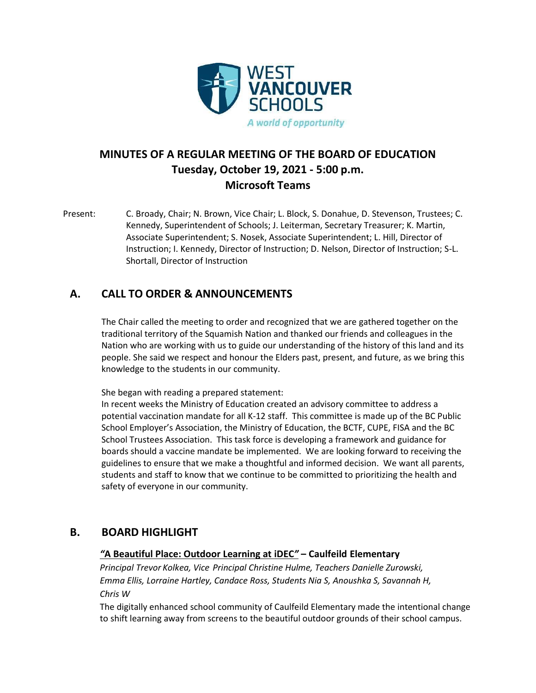

# **MINUTES OF A REGULAR MEETING OF THE BOARD OF EDUCATION Tuesday, October 19, 2021 - 5:00 p.m. Microsoft Teams**

Present: C. Broady, Chair; N. Brown, Vice Chair; L. Block, S. Donahue, D. Stevenson, Trustees; C. Kennedy, Superintendent of Schools; J. Leiterman, Secretary Treasurer; K. Martin, Associate Superintendent; S. Nosek, Associate Superintendent; L. Hill, Director of Instruction; I. Kennedy, Director of Instruction; D. Nelson, Director of Instruction; S-L. Shortall, Director of Instruction

## **A. CALL TO ORDER & ANNOUNCEMENTS**

The Chair called the meeting to order and recognized that we are gathered together on the traditional territory of the Squamish Nation and thanked our friends and colleagues in the Nation who are working with us to guide our understanding of the history of this land and its people. She said we respect and honour the Elders past, present, and future, as we bring this knowledge to the students in our community.

She began with reading a prepared statement:

In recent weeks the Ministry of Education created an advisory committee to address a potential vaccination mandate for all K-12 staff. This committee is made up of the BC Public School Employer's Association, the Ministry of Education, the BCTF, CUPE, FISA and the BC School Trustees Association. This task force is developing a framework and guidance for boards should a vaccine mandate be implemented. We are looking forward to receiving the guidelines to ensure that we make a thoughtful and informed decision. We want all parents, students and staff to know that we continue to be committed to prioritizing the health and safety of everyone in our community.

## **B. BOARD HIGHLIGHT**

### *"***A Beautiful Place: Outdoor Learning at iDEC***"* **– Caulfeild Elementary**

*Principal Trevor Kolkea, Vice Principal Christine Hulme, Teachers Danielle Zurowski, Emma Ellis, Lorraine Hartley, Candace Ross, Students Nia S, Anoushka S, Savannah H, Chris W*

The digitally enhanced school community of Caulfeild Elementary made the intentional change to shift learning away from screens to the beautiful outdoor grounds of their school campus.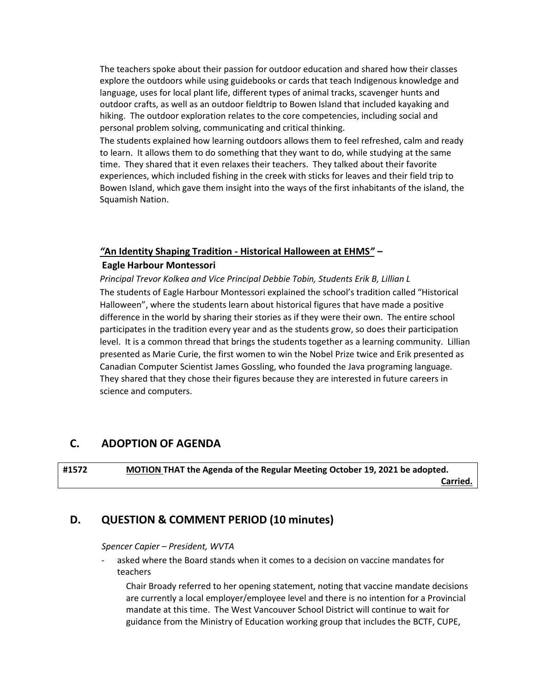The teachers spoke about their passion for outdoor education and shared how their classes explore the outdoors while using guidebooks or cards that teach Indigenous knowledge and language, uses for local plant life, different types of animal tracks, scavenger hunts and outdoor crafts, as well as an outdoor fieldtrip to Bowen Island that included kayaking and hiking. The outdoor exploration relates to the core competencies, including social and personal problem solving, communicating and critical thinking.

The students explained how learning outdoors allows them to feel refreshed, calm and ready to learn. It allows them to do something that they want to do, while studying at the same time. They shared that it even relaxes their teachers. They talked about their favorite experiences, which included fishing in the creek with sticks for leaves and their field trip to Bowen Island, which gave them insight into the ways of the first inhabitants of the island, the Squamish Nation.

### *"***An Identity Shaping Tradition - Historical Halloween at EHMS***"* **–**

#### **Eagle Harbour Montessori**

*Principal Trevor Kolkea and Vice Principal Debbie Tobin, Students Erik B, Lillian L* The students of Eagle Harbour Montessori explained the school's tradition called "Historical Halloween", where the students learn about historical figures that have made a positive difference in the world by sharing their stories as if they were their own. The entire school participates in the tradition every year and as the students grow, so does their participation level. It is a common thread that brings the students together as a learning community. Lillian presented as Marie Curie, the first women to win the Nobel Prize twice and Erik presented as Canadian Computer Scientist James Gossling, who founded the Java programing language. They shared that they chose their figures because they are interested in future careers in science and computers.

## **C. ADOPTION OF AGENDA**

**#1572 MOTION THAT the Agenda of the Regular Meeting October 19, 2021 be adopted. Carried.**

## **D. QUESTION & COMMENT PERIOD (10 minutes)**

#### *Spencer Capier – President, WVTA*

asked where the Board stands when it comes to a decision on vaccine mandates for teachers

Chair Broady referred to her opening statement, noting that vaccine mandate decisions are currently a local employer/employee level and there is no intention for a Provincial mandate at this time. The West Vancouver School District will continue to wait for guidance from the Ministry of Education working group that includes the BCTF, CUPE,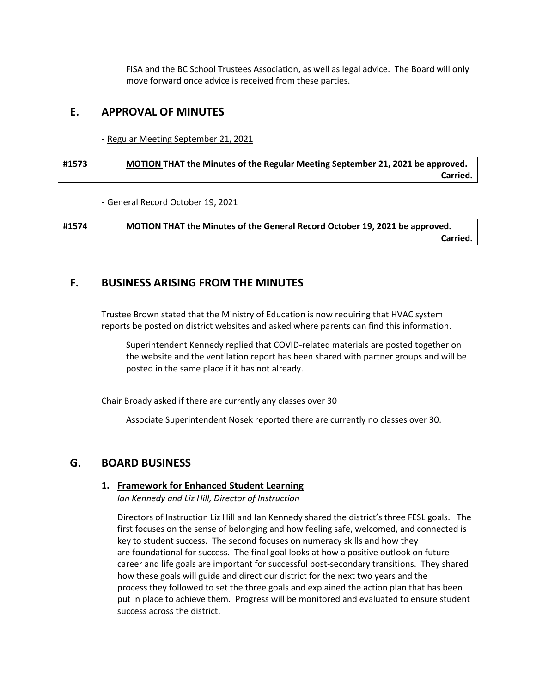FISA and the BC School Trustees Association, as well as legal advice. The Board will only move forward once advice is received from these parties.

### **E. APPROVAL OF MINUTES**

- Regular Meeting September 21, 2021

### **#1573 MOTION THAT the Minutes of the Regular Meeting September 21, 2021 be approved. Carried.**

- General Record October 19, 2021

**#1574 MOTION THAT the Minutes of the General Record October 19, 2021 be approved. Carried.**

## **F. BUSINESS ARISING FROM THE MINUTES**

Trustee Brown stated that the Ministry of Education is now requiring that HVAC system reports be posted on district websites and asked where parents can find this information.

Superintendent Kennedy replied that COVID-related materials are posted together on the website and the ventilation report has been shared with partner groups and will be posted in the same place if it has not already.

Chair Broady asked if there are currently any classes over 30

Associate Superintendent Nosek reported there are currently no classes over 30.

## **G. BOARD BUSINESS**

#### **1. Framework for Enhanced Student Learning**

*Ian Kennedy and Liz Hill, Director of Instruction*

Directors of Instruction Liz Hill and Ian Kennedy shared the district's three FESL goals. The first focuses on the sense of belonging and how feeling safe, welcomed, and connected is key to student success. The second focuses on numeracy skills and how they are foundational for success. The final goal looks at how a positive outlook on future career and life goals are important for successful post-secondary transitions. They shared how these goals will guide and direct our district for the next two years and the process they followed to set the three goals and explained the action plan that has been put in place to achieve them. Progress will be monitored and evaluated to ensure student success across the district.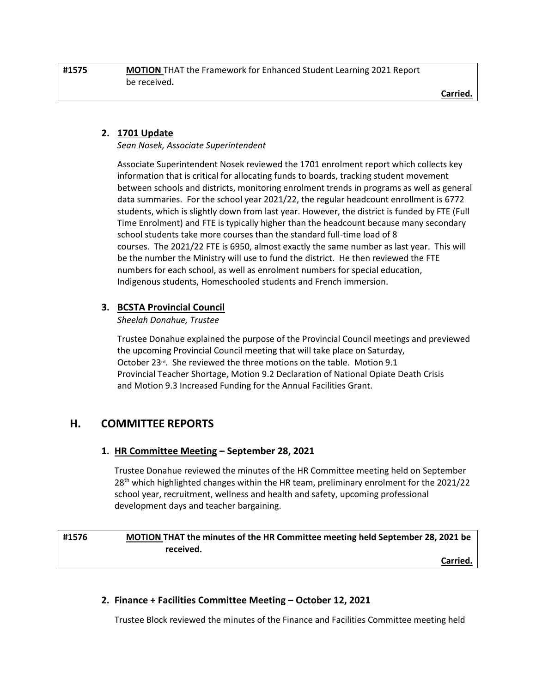**Carried.**

### **2. 1701 Update**

*Sean Nosek, Associate Superintendent*

Associate Superintendent Nosek reviewed the 1701 enrolment report which collects key information that is critical for allocating funds to boards, tracking student movement between schools and districts, monitoring enrolment trends in programs as well as general data summaries. For the school year 2021/22, the regular headcount enrollment is 6772 students, which is slightly down from last year. However, the district is funded by FTE (Full Time Enrolment) and FTE is typically higher than the headcount because many secondary school students take more courses than the standard full-time load of 8 courses. The 2021/22 FTE is 6950, almost exactly the same number as last year. This will be the number the Ministry will use to fund the district. He then reviewed the FTE numbers for each school, as well as enrolment numbers for special education, Indigenous students, Homeschooled students and French immersion.

### **3. BCSTA Provincial Council**

*Sheelah Donahue, Trustee*

Trustee Donahue explained the purpose of the Provincial Council meetings and previewed the upcoming Provincial Council meeting that will take place on Saturday, October 23<sup>rd</sup>. She reviewed the three motions on the table. Motion 9.1 Provincial Teacher Shortage, Motion 9.2 Declaration of National Opiate Death Crisis and Motion 9.3 Increased Funding for the Annual Facilities Grant.

## **H. COMMITTEE REPORTS**

### **1. HR Committee Meeting – September 28, 2021**

Trustee Donahue reviewed the minutes of the HR Committee meeting held on September 28<sup>th</sup> which highlighted changes within the HR team, preliminary enrolment for the 2021/22 school year, recruitment, wellness and health and safety, upcoming professional development days and teacher bargaining.

## **#1576 MOTION THAT the minutes of the HR Committee meeting held September 28, 2021 be received.**

**Carried.**

### **2. Finance + Facilities Committee Meeting – October 12, 2021**

Trustee Block reviewed the minutes of the Finance and Facilities Committee meeting held